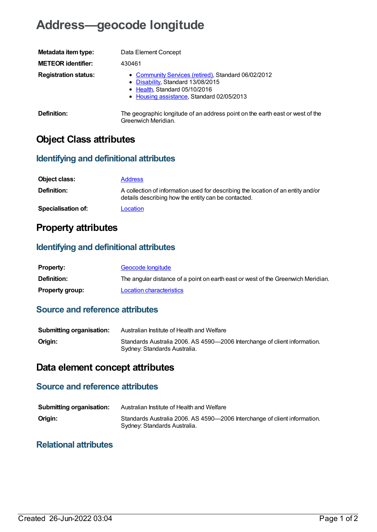# **Address—geocode longitude**

| Metadata item type:         | Data Element Concept                                                                                                                                                   |
|-----------------------------|------------------------------------------------------------------------------------------------------------------------------------------------------------------------|
| <b>METEOR identifier:</b>   | 430461                                                                                                                                                                 |
| <b>Registration status:</b> | • Community Services (retired), Standard 06/02/2012<br>• Disability, Standard 13/08/2015<br>• Health, Standard 05/10/2016<br>• Housing assistance, Standard 02/05/2013 |
| Definition:                 | The geographic longitude of an address point on the earth east or west of the<br>Greenwich Meridian.                                                                   |

# **Object Class attributes**

#### **Identifying and definitional attributes**

| Object class:             | <b>Address</b>                                                                                                                          |
|---------------------------|-----------------------------------------------------------------------------------------------------------------------------------------|
| <b>Definition:</b>        | A collection of information used for describing the location of an entity and/or<br>details describing how the entity can be contacted. |
| <b>Specialisation of:</b> | Location                                                                                                                                |

## **Property attributes**

## **Identifying and definitional attributes**

| <b>Property:</b>       | Geocode longitude                                                                |
|------------------------|----------------------------------------------------------------------------------|
| Definition:            | The angular distance of a point on earth east or west of the Greenwich Meridian. |
| <b>Property group:</b> | Location characteristics                                                         |

#### **Source and reference attributes**

| <b>Submitting organisation:</b> | Australian Institute of Health and Welfare                                                                |
|---------------------------------|-----------------------------------------------------------------------------------------------------------|
| Origin:                         | Standards Australia 2006. AS 4590-2006 Interchange of client information.<br>Sydney: Standards Australia. |

# **Data element concept attributes**

## **Source and reference attributes**

| <b>Submitting organisation:</b> | Australian Institute of Health and Welfare                                                                |
|---------------------------------|-----------------------------------------------------------------------------------------------------------|
| Origin:                         | Standards Australia 2006. AS 4590-2006 Interchange of client information.<br>Sydney: Standards Australia. |

#### **Relational attributes**